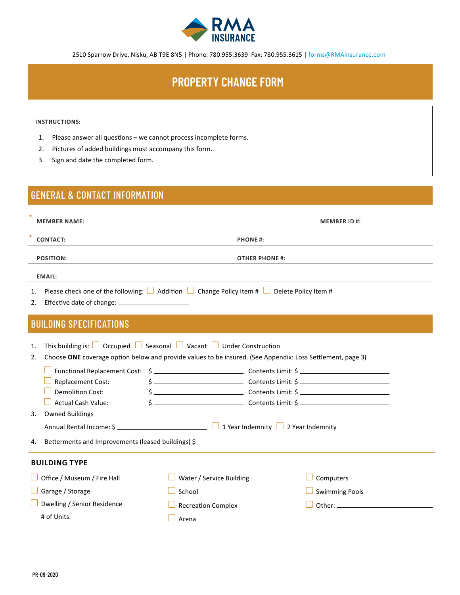

2510 Sparrow Drive, Nisku, AB T9E 8N5 | Phone: 780.955.3639 Fax: 780.955.3615 | forms@RMAinsurance.com

# **PROPERTY CHANGE FORM**

#### **INSTRUCTIONS:**

- 1. Please answer all questions we cannot process incomplete forms.
- 2. Pictures of added buildings must accompany this form.
- 3. Sign and date the completed form.

### GENERAL & CONTACT INFORMATION

| <b>MEMBER NAME:</b> |                                                                                                                                                                                                         | <b>MEMBER ID#:</b>                                              |  |                                                                                                                                                                                                      |  |  |  |  |
|---------------------|---------------------------------------------------------------------------------------------------------------------------------------------------------------------------------------------------------|-----------------------------------------------------------------|--|------------------------------------------------------------------------------------------------------------------------------------------------------------------------------------------------------|--|--|--|--|
| <b>CONTACT:</b>     |                                                                                                                                                                                                         | <b>PHONE#:</b>                                                  |  |                                                                                                                                                                                                      |  |  |  |  |
| <b>POSITION:</b>    |                                                                                                                                                                                                         | <b>OTHER PHONE #:</b>                                           |  |                                                                                                                                                                                                      |  |  |  |  |
|                     | <b>EMAIL:</b>                                                                                                                                                                                           |                                                                 |  |                                                                                                                                                                                                      |  |  |  |  |
| 1.<br>2.            | Please check one of the following: $\Box$ Addition $\Box$ Change Policy Item # $\Box$ Delete Policy Item #<br>Effective date of change: ________________________                                        |                                                                 |  |                                                                                                                                                                                                      |  |  |  |  |
|                     | <b>BUILDING SPECIFICATIONS</b>                                                                                                                                                                          |                                                                 |  |                                                                                                                                                                                                      |  |  |  |  |
| 1.<br>2.            | This building is: $\Box$ Occupied $\Box$ Seasonal $\Box$ Vacant $\Box$ Under Construction<br>Choose ONE coverage option below and provide values to be insured. (See Appendix: Loss Settlement, page 3) |                                                                 |  |                                                                                                                                                                                                      |  |  |  |  |
|                     | Replacement Cost:<br><b>Demolition Cost:</b><br><b>Actual Cash Value:</b>                                                                                                                               |                                                                 |  | $\frac{1}{2}$ Contents Limit: $\frac{1}{2}$ Contents Contents (2001)<br>$\frac{1}{2}$ Contents Limit: $\frac{1}{2}$ Contents Limit: $\frac{1}{2}$<br>$\sinh 2\theta$ Contents Limit: $\sinh 2\theta$ |  |  |  |  |
| 3.                  | <b>Owned Buildings</b><br>Annual Rental Income: \$ __________________________________ □ 1 Year Indemnity □ 2 Year Indemnity                                                                             |                                                                 |  |                                                                                                                                                                                                      |  |  |  |  |
| 4.                  | Betterments and Improvements (leased buildings) \$                                                                                                                                                      |                                                                 |  |                                                                                                                                                                                                      |  |  |  |  |
|                     | <b>BUILDING TYPE</b>                                                                                                                                                                                    |                                                                 |  |                                                                                                                                                                                                      |  |  |  |  |
|                     | Office / Museum / Fire Hall<br>Garage / Storage<br>Dwelling / Senior Residence                                                                                                                          | Water / Service Building<br>School<br><b>Recreation Complex</b> |  | Computers<br><b>Swimming Pools</b>                                                                                                                                                                   |  |  |  |  |
|                     |                                                                                                                                                                                                         | Arena                                                           |  |                                                                                                                                                                                                      |  |  |  |  |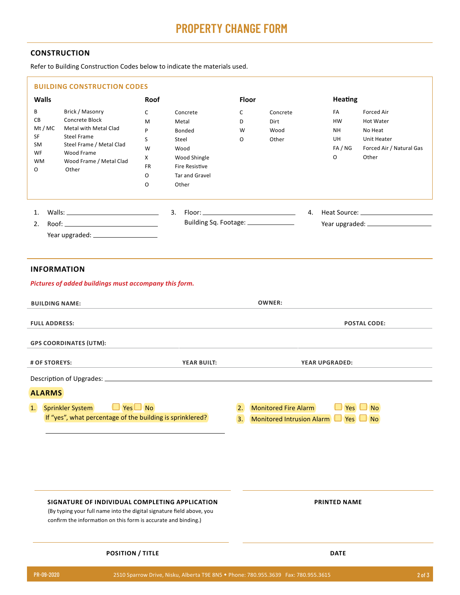## **PROPERTY CHANGE FORM**

#### **CONSTRUCTION**

Refer to Building Construction Codes below to indicate the materials used.

|                                                               | <b>BUILDING CONSTRUCTION CODES</b>                                                                                                                                                        |                                                                                                                                                                                      |                                      |                                                                     |                                                        |                                                                                        |  |  |
|---------------------------------------------------------------|-------------------------------------------------------------------------------------------------------------------------------------------------------------------------------------------|--------------------------------------------------------------------------------------------------------------------------------------------------------------------------------------|--------------------------------------|---------------------------------------------------------------------|--------------------------------------------------------|----------------------------------------------------------------------------------------|--|--|
| <b>Walls</b><br>В<br>CВ<br>Mt/MC<br>SF<br>SM<br>WF<br>WМ<br>O | Brick / Masonry<br>Concrete Block<br>Metal with Metal Clad<br><b>Steel Frame</b><br>Steel Frame / Metal Clad<br>Wood Frame<br>Wood Frame / Metal Clad<br>Other                            | <b>Roof</b><br>C<br>Concrete<br>M<br>Metal<br>P<br>Bonded<br>S<br>Steel<br>W<br>Wood<br>Wood Shingle<br>X<br><b>Fire Resistive</b><br>FR<br>0<br><b>Tar and Gravel</b><br>O<br>Other | Floor<br>C<br>D<br>W<br>O            | Concrete<br>Dirt<br>Wood<br>Other                                   | <b>Heating</b><br>FA<br>HW<br>NΗ<br>UH<br>FA / NG<br>0 | Forced Air<br>Hot Water<br>No Heat<br>Unit Heater<br>Forced Air / Natural Gas<br>Other |  |  |
| 1.<br>2.                                                      |                                                                                                                                                                                           |                                                                                                                                                                                      | Building Sq. Footage: ______________ |                                                                     |                                                        |                                                                                        |  |  |
| <b>INFORMATION</b>                                            | Pictures of added buildings must accompany this form.                                                                                                                                     |                                                                                                                                                                                      |                                      |                                                                     |                                                        |                                                                                        |  |  |
| <b>BUILDING NAME:</b>                                         |                                                                                                                                                                                           |                                                                                                                                                                                      | <b>OWNER:</b>                        |                                                                     |                                                        |                                                                                        |  |  |
| <b>FULL ADDRESS:</b><br><b>GPS COORDINATES (UTM):</b>         |                                                                                                                                                                                           |                                                                                                                                                                                      | <b>POSTAL CODE:</b>                  |                                                                     |                                                        |                                                                                        |  |  |
| # OF STOREYS:                                                 |                                                                                                                                                                                           | <b>YEAR BUILT:</b>                                                                                                                                                                   | <b>YEAR UPGRADED:</b>                |                                                                     |                                                        |                                                                                        |  |  |
|                                                               |                                                                                                                                                                                           |                                                                                                                                                                                      |                                      |                                                                     |                                                        |                                                                                        |  |  |
| <b>ALARMS</b>                                                 |                                                                                                                                                                                           |                                                                                                                                                                                      |                                      |                                                                     |                                                        |                                                                                        |  |  |
|                                                               | $\Box$ Yes $\Box$ No<br>1. Sprinkler System<br>If "yes", what percentage of the building is sprinklered?                                                                                  |                                                                                                                                                                                      | 2.<br>3.                             | <b>Monitored Fire Alarm</b><br>Monitored Intrusion Alarm   Yes   No |                                                        | $Yes \Box No$                                                                          |  |  |
|                                                               | SIGNATURE OF INDIVIDUAL COMPLETING APPLICATION<br>(By typing your full name into the digital signature field above, you<br>confirm the information on this form is accurate and binding.) |                                                                                                                                                                                      |                                      | <b>PRINTED NAME</b>                                                 |                                                        |                                                                                        |  |  |
| <b>POSITION / TITLE</b>                                       |                                                                                                                                                                                           |                                                                                                                                                                                      |                                      | <b>DATE</b>                                                         |                                                        |                                                                                        |  |  |
| PR-09-2020                                                    |                                                                                                                                                                                           | 2510 Sparrow Drive, Nisku, Alberta T9E 8N5 • Phone: 780.955.3639  Fax: 780.955.3615                                                                                                  |                                      |                                                                     |                                                        | $2$ of $3$                                                                             |  |  |